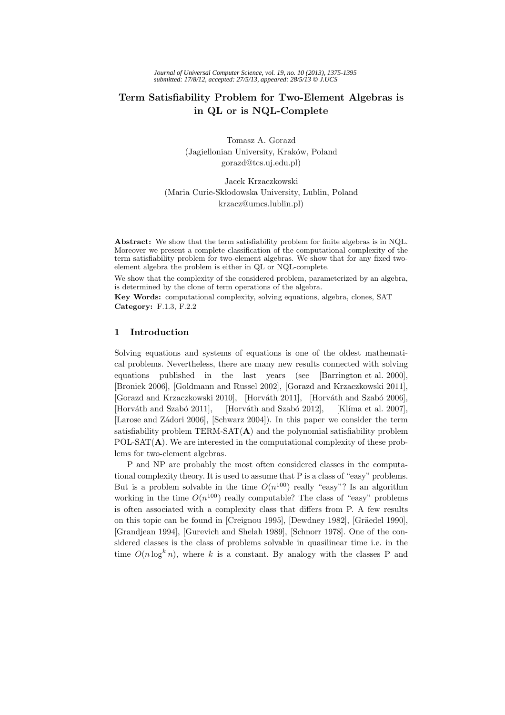# **Term Satisfiability Problem for Two-Element Algebras is in QL or is NQL-Complete**

Tomasz A. Gorazd (Jagiellonian University, Kraków, Poland gorazd@tcs.uj.edu.pl)

Jacek Krzaczkowski (Maria Curie-Skłodowska University, Lublin, Poland krzacz@umcs.lublin.pl)

**Abstract:** We show that the term satisfiability problem for finite algebras is in NQL. Moreover we present a complete classification of the computational complexity of the term satisfiability problem for two-element algebras. We show that for any fixed twoelement algebra the problem is either in QL or NQL-complete.

We show that the complexity of the considered problem, parameterized by an algebra, is determined by the clone of term operations of the algebra.

**Key Words:** computational complexity, solving equations, algebra, clones, SAT **Category:** F.1.3, F.2.2

# **1 Introduction**

Solving equations and systems of equations is one of the oldest mathematical problems. Nevertheless, there are many new results connected with solving equations published in the last years (see [Barrington et al. 2000], [Broniek 2006], [Goldmann and Russel 2002], [Gorazd and Krzaczkowski 2011], [Gorazd and Krzaczkowski 2010], [Horváth 2011], [Horváth and Szabó 2006], [Horváth and Szabó 2011], [Horváth and Szabó 2012], [Klíma et al. 2007], [Larose and Zádori 2006], [Schwarz 2004]). In this paper we consider the term satisfiability problem TERM-SAT(**A**) and the polynomial satisfiability problem POL-SAT(**A**). We are interested in the computational complexity of these problems for two-element algebras.

P and NP are probably the most often considered classes in the computational complexity theory. It is used to assume that P is a class of "easy" problems. But is a problem solvable in the time  $O(n^{100})$  really "easy"? Is an algorithm working in the time  $O(n^{100})$  really computable? The class of "easy" problems is often associated with a complexity class that differs from P. A few results on this topic can be found in [Creignou 1995], [Dewdney 1982], [Gräedel 1990], [Grandjean 1994], [Gurevich and Shelah 1989], [Schnorr 1978]. One of the considered classes is the class of problems solvable in quasilinear time i.e. in the time  $O(n \log^k n)$ , where k is a constant. By analogy with the classes P and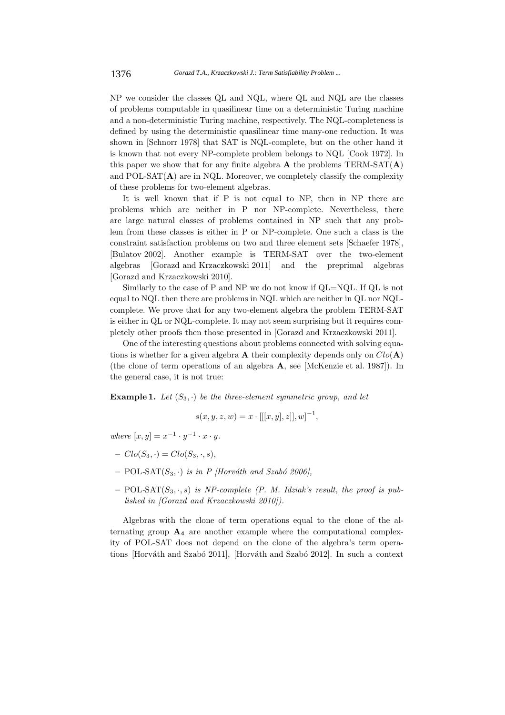NP we consider the classes QL and NQL, where QL and NQL are the classes of problems computable in quasilinear time on a deterministic Turing machine and a non-deterministic Turing machine, respectively. The NQL-completeness is defined by using the deterministic quasilinear time many-one reduction. It was shown in [Schnorr 1978] that SAT is NQL-complete, but on the other hand it is known that not every NP-complete problem belongs to NQL [Cook 1972]. In this paper we show that for any finite algebra  $\bf{A}$  the problems  $TERM-SAT(\bf{A})$ and POL-SAT $(A)$  are in NQL. Moreover, we completely classify the complexity of these problems for two-element algebras.

It is well known that if P is not equal to NP, then in NP there are problems which are neither in P nor NP-complete. Nevertheless, there are large natural classes of problems contained in NP such that any problem from these classes is either in P or NP-complete. One such a class is the constraint satisfaction problems on two and three element sets [Schaefer 1978], [Bulatov 2002]. Another example is TERM-SAT over the two-element algebras [Gorazd and Krzaczkowski 2011] and the preprimal algebras [Gorazd and Krzaczkowski 2010].

Similarly to the case of P and NP we do not know if QL=NQL. If QL is not equal to NQL then there are problems in NQL which are neither in QL nor NQLcomplete. We prove that for any two-element algebra the problem TERM-SAT is either in QL or NQL-complete. It may not seem surprising but it requires completely other proofs then those presented in [Gorazd and Krzaczkowski 2011].

One of the interesting questions about problems connected with solving equations is whether for a given algebra **A** their complexity depends only on  $Clo(\mathbf{A})$ (the clone of term operations of an algebra **A**, see [McKenzie et al. 1987]). In the general case, it is not true:

**Example 1.** Let  $(S_3, \cdot)$  be the three-element symmetric group, and let

$$
s(x, y, z, w) = x \cdot [[[x, y], z]], w]^{-1},
$$

*where*  $[x, y] = x^{-1} \cdot y^{-1} \cdot x \cdot y$ .

- $Clo(S_3, \cdot) = Clo(S_3, \cdot, s),$
- $-$  POL-SAT $(S_3, \cdot)$  *is in P [Horváth and Szabó 2006]*.
- **–** POL*-*SAT(S3, ·, s) *is NP-complete (P. M. Idziak's result, the proof is published in [Gorazd and Krzaczkowski 2010]).*

Algebras with the clone of term operations equal to the clone of the alternating group  $\mathbf{A}_4$  are another example where the computational complexity of POL-SAT does not depend on the clone of the algebra's term operations [Horváth and Szabó 2011], [Horváth and Szabó 2012]. In such a context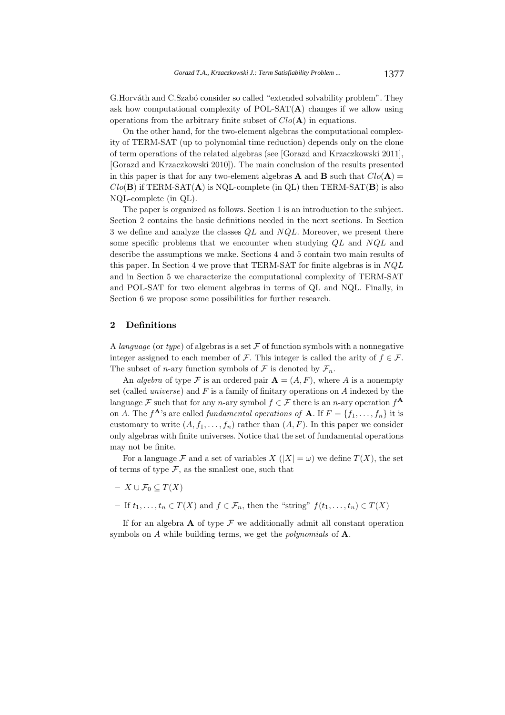G.Horváth and C.Szabó consider so called "extended solvability problem". They ask how computational complexity of POL-SAT(**A**) changes if we allow using operations from the arbitrary finite subset of  $Clo(\mathbf{A})$  in equations.

On the other hand, for the two-element algebras the computational complexity of TERM-SAT (up to polynomial time reduction) depends only on the clone of term operations of the related algebras (see [Gorazd and Krzaczkowski 2011], [Gorazd and Krzaczkowski 2010]). The main conclusion of the results presented in this paper is that for any two-element algebras **A** and **B** such that  $Clo(\mathbf{A}) =$  $Clo(\mathbf{B})$  if TERM-SAT( $\mathbf{A}$ ) is NQL-complete (in QL) then TERM-SAT( $\mathbf{B}$ ) is also NQL-complete (in QL).

The paper is organized as follows. Section 1 is an introduction to the subject. Section 2 contains the basic definitions needed in the next sections. In Section 3 we define and analyze the classes  $QL$  and  $NQL$ . Moreover, we present there some specific problems that we encounter when studying  $QL$  and  $NQL$  and describe the assumptions we make. Sections 4 and 5 contain two main results of this paper. In Section 4 we prove that TERM-SAT for finite algebras is in  $NQL$ and in Section 5 we characterize the computational complexity of TERM-SAT and POL-SAT for two element algebras in terms of QL and NQL. Finally, in Section 6 we propose some possibilities for further research.

# **2 Definitions**

A *language* (or *type*) of algebras is a set  $\mathcal F$  of function symbols with a nonnegative integer assigned to each member of F. This integer is called the arity of  $f \in \mathcal{F}$ . The subset of *n*-ary function symbols of F is denoted by  $\mathcal{F}_n$ .

An *algebra* of type F is an ordered pair  $A = (A, F)$ , where A is a nonempty set (called *universe*) and F is a family of finitary operations on A indexed by the language F such that for any n-ary symbol  $f \in \mathcal{F}$  there is an n-ary operation  $f^{\mathbf{A}}$ on A. The  $f^{\mathbf{A}}$ 's are called *fundamental operations of* **A**. If  $F = \{f_1, \ldots, f_n\}$  it is customary to write  $(A, f_1, \ldots, f_n)$  rather than  $(A, F)$ . In this paper we consider only algebras with finite universes. Notice that the set of fundamental operations may not be finite.

For a language F and a set of variables  $X(|X| = \omega)$  we define  $T(X)$ , the set of terms of type  $\mathcal F$ , as the smallest one, such that

- $X \cup \mathcal{F}_0 \subseteq T(X)$
- **−** If  $t_1, \ldots, t_n \in T(X)$  and  $f \in \mathcal{F}_n$ , then the "string"  $f(t_1, \ldots, t_n) \in T(X)$

If for an algebra  $\bf{A}$  of type  $\bf{F}$  we additionally admit all constant operation symbols on A while building terms, we get the *polynomials* of **A**.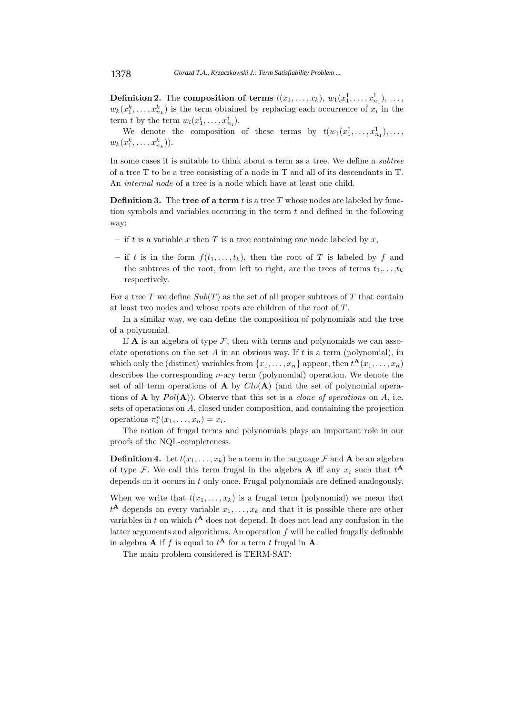**Definition 2.** The **composition of terms**  $t(x_1, \ldots, x_k)$ ,  $w_1(x_1^1, \ldots, x_{n_1}^1)$ , ...,  $w_n(x_1^k, \ldots, x_k^k)$ , is the term skinged by replacing sack assumption of  $x_i$  in the  $w_k(x_1^k, \ldots, x_{n_k}^k)$  is the term obtained by replacing each occurrence of  $x_i$  in the term t by the term  $w_i(x_1^i, \ldots, x_{n_i}^i)$ .

We denote the composition of these terms by  $t(w_1(x_1^1,\ldots,x_{n_1}^1),\ldots,$  $w_k(x_1^k, \ldots, x_{n_k}^k)).$ 

In some cases it is suitable to think about a term as a tree. We define a *subtree* of a tree T to be a tree consisting of a node in T and all of its descendants in T. An *internal node* of a tree is a node which have at least one child.

**Definition 3.** The **tree of a term** t is a tree T whose nodes are labeled by function symbols and variables occurring in the term  $t$  and defined in the following way:

- $-$  if t is a variable x then T is a tree containing one node labeled by x,
- if t is in the form  $f(t_1,...,t_k)$ , then the root of T is labeled by f and the subtrees of the root, from left to right, are the trees of terms  $t_1, \ldots, t_k$ respectively.

For a tree T we define  $Sub(T)$  as the set of all proper subtrees of T that contain at least two nodes and whose roots are children of the root of  $T$ .

In a similar way, we can define the composition of polynomials and the tree of a polynomial.

If **A** is an algebra of type  $\mathcal F$ , then with terms and polynomials we can associate operations on the set A in an obvious way. If t is a term (polynomial), in which only the (distinct) variables from  $\{x_1, \ldots, x_n\}$  appear, then  $t^{\mathbf{A}}(x_1, \ldots, x_n)$ describes the corresponding n-ary term (polynomial) operation. We denote the set of all term operations of  $\bf{A}$  by  $Clo(\bf{A})$  (and the set of polynomial operations of **A** by  $Pol(A)$ ). Observe that this set is a *clone of operations* on A, i.e. sets of operations on A, closed under composition, and containing the projection operations  $\pi_i^n(x_1,\ldots,x_n) = x_i$ .<br>The nation of functions

The notion of frugal terms and polynomials plays an important role in our proofs of the NQL-completeness.

**Definition 4.** Let  $t(x_1,...,x_k)$  be a term in the language  $\mathcal F$  and  $\mathbf A$  be an algebra of type F. We call this term frugal in the algebra **A** iff any  $x_i$  such that  $t^A$ depends on it occurs in t only once. Frugal polynomials are defined analogously.

When we write that  $t(x_1,...,x_k)$  is a frugal term (polynomial) we mean that  $t^{\mathbf{A}}$  depends on every variable  $x_1, \ldots, x_k$  and that it is possible there are other variables in t on which  $t^{\mathbf{A}}$  does not depend. It does not lead any confusion in the latter arguments and algorithms. An operation  $f$  will be called frugally definable in algebra **A** if f is equal to  $t^{\mathbf{A}}$  for a term t frugal in **A**.

The main problem considered is TERM-SAT: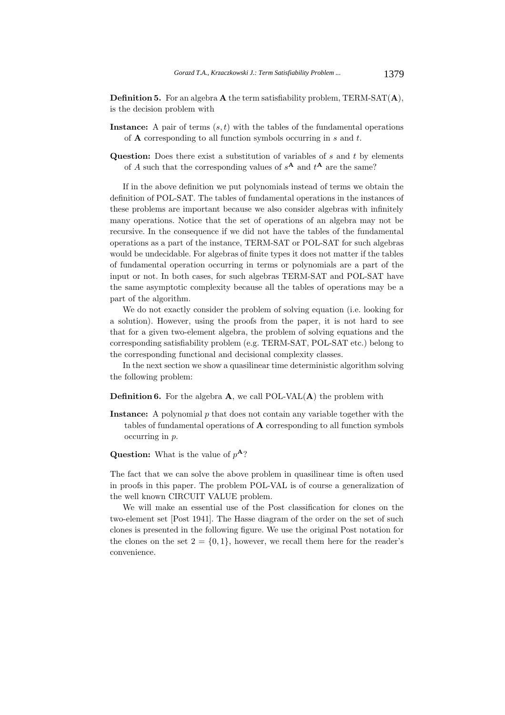**Definition 5.** For an algebra **A** the term satisfiability problem, TERM-SAT(**A**), is the decision problem with

- **Instance:** A pair of terms  $(s, t)$  with the tables of the fundamental operations of **A** corresponding to all function symbols occurring in s and t.
- **Question:** Does there exist a substitution of variables of s and t by elements of A such that the corresponding values of  $s^A$  and  $t^A$  are the same?

If in the above definition we put polynomials instead of terms we obtain the definition of POL-SAT. The tables of fundamental operations in the instances of these problems are important because we also consider algebras with infinitely many operations. Notice that the set of operations of an algebra may not be recursive. In the consequence if we did not have the tables of the fundamental operations as a part of the instance, TERM-SAT or POL-SAT for such algebras would be undecidable. For algebras of finite types it does not matter if the tables of fundamental operation occurring in terms or polynomials are a part of the input or not. In both cases, for such algebras TERM-SAT and POL-SAT have the same asymptotic complexity because all the tables of operations may be a part of the algorithm.

We do not exactly consider the problem of solving equation (i.e. looking for a solution). However, using the proofs from the paper, it is not hard to see that for a given two-element algebra, the problem of solving equations and the corresponding satisfiability problem (e.g. TERM-SAT, POL-SAT etc.) belong to the corresponding functional and decisional complexity classes.

In the next section we show a quasilinear time deterministic algorithm solving the following problem:

**Definition 6.** For the algebra **A**, we call POL-VAL(**A**) the problem with

- **Instance:** A polynomial p that does not contain any variable together with the tables of fundamental operations of **A** corresponding to all function symbols occurring in p.
- **Question:** What is the value of p**<sup>A</sup>**?

The fact that we can solve the above problem in quasilinear time is often used in proofs in this paper. The problem POL-VAL is of course a generalization of the well known CIRCUIT VALUE problem.

We will make an essential use of the Post classification for clones on the two-element set [Post 1941]. The Hasse diagram of the order on the set of such clones is presented in the following figure. We use the original Post notation for the clones on the set  $2 = \{0, 1\}$ , however, we recall them here for the reader's convenience.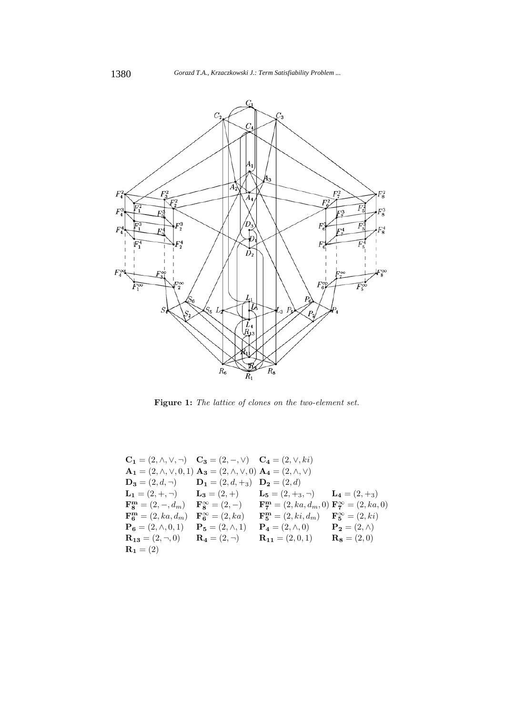

**Figure 1:** *The lattice of clones on the two-element set.*

$$
C_1 = (2, \land, \lor, \neg) \t C_3 = (2, -, \lor) \t C_4 = (2, \lor, ki)
$$
  
\n
$$
A_1 = (2, \land, \lor, 0, 1) \t A_3 = (2, \land, \lor, 0) \t A_4 = (2, \land, \lor)
$$
  
\n
$$
D_3 = (2, d, \neg) \t D_1 = (2, d, +_3) \t D_2 = (2, d)
$$
  
\n
$$
L_1 = (2, +, \neg) \t L_3 = (2, +) \t L_5 = (2, +_3, \neg) \t L_4 = (2, +_3)
$$
  
\n
$$
F_8^m = (2, -, d_m) \t F_8^\infty = (2, -) \t F_7^m = (2, ka, d_m, 0) F_7^\infty = (2, ka, 0)
$$
  
\n
$$
F_6^m = (2, ka, d_m) \t F_6^\infty = (2, ka) \t F_5^m = (2, ki, d_m) \t F_5^\infty = (2, ki)
$$
  
\n
$$
P_6 = (2, \land, 0, 1) \t P_5 = (2, \land, 1) \t P_4 = (2, \land, 0) \t P_2 = (2, \land)
$$
  
\n
$$
R_{13} = (2, \neg, 0) \t R_4 = (2, \neg) \t R_{11} = (2, 0, 1) \t R_8 = (2, 0)
$$
  
\n
$$
R_1 = (2)
$$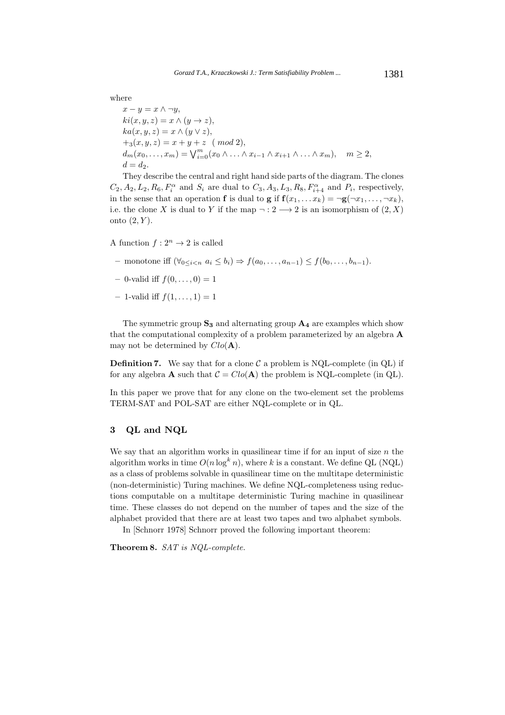where

$$
x - y = x \wedge \neg y,
$$
  
\n
$$
ki(x, y, z) = x \wedge (y \rightarrow z),
$$
  
\n
$$
ka(x, y, z) = x \wedge (y \vee z),
$$
  
\n
$$
+_{3}(x, y, z) = x + y + z \pmod{2},
$$
  
\n
$$
d_{m}(x_{0},...,x_{m}) = \bigvee_{i=0}^{m} (x_{0} \wedge ... \wedge x_{i-1} \wedge x_{i+1} \wedge ... \wedge x_{m}), \quad m \ge 2,
$$
  
\n
$$
d = d_{2}.
$$

They describe the central and right hand side parts of the diagram. The clones  $C_2$ ,  $A_2$ ,  $L_2$ ,  $R_6$ ,  $F_i^{\alpha}$  and  $S_i$  are dual to  $C_3$ ,  $A_3$ ,  $L_3$ ,  $R_8$ ,  $F_{i+4}^{\alpha}$  and  $P_i$ , respectively, in the sense that an operation **f** is dual to **g** if  $f(x_1,...x_k) = \neg g(\neg x_1,...,\neg x_k)$ , i.e. the clone X is dual to Y if the map  $\neg: 2 \longrightarrow 2$  is an isomorphism of  $(2, X)$ onto  $(2, Y)$ .

A function  $f: 2^n \to 2$  is called

- *–* monotone iff  $(\forall_{0 \le i \le n} a_i \le b_i) \Rightarrow f(a_0, ..., a_{n-1}) \le f(b_0, ..., b_{n-1}).$
- $-$  0-valid iff  $f(0, \ldots, 0) = 1$
- $-1$ -valid iff  $f(1,..., 1) = 1$

The symmetric group **S<sup>3</sup>** and alternating group **A<sup>4</sup>** are examples which show that the computational complexity of a problem parameterized by an algebra **A** may not be determined by  $Clo(\mathbf{A})$ .

**Definition 7.** We say that for a clone  $\mathcal{C}$  a problem is NQL-complete (in QL) if for any algebra **A** such that  $C = Clo(A)$  the problem is NQL-complete (in QL).

In this paper we prove that for any clone on the two-element set the problems TERM-SAT and POL-SAT are either NQL-complete or in QL.

# **3 QL and NQL**

We say that an algorithm works in quasilinear time if for an input of size  $n$  the algorithm works in time  $O(n \log^k n)$ , where k is a constant. We define QL (NQL) as a class of problems solvable in quasilinear time on the multitape deterministic (non-deterministic) Turing machines. We define NQL-completeness using reductions computable on a multitape deterministic Turing machine in quasilinear time. These classes do not depend on the number of tapes and the size of the alphabet provided that there are at least two tapes and two alphabet symbols.

In [Schnorr 1978] Schnorr proved the following important theorem:

**Theorem 8.** *SAT is NQL-complete.*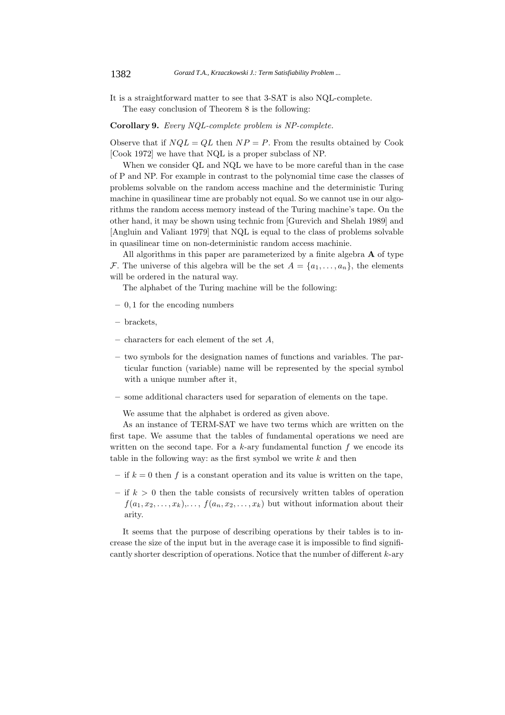It is a straightforward matter to see that 3-SAT is also NQL-complete. The easy conclusion of Theorem 8 is the following:

**Corollary 9.** *Every NQL-complete problem is NP-complete.*

Observe that if  $NQL = QL$  then  $NP = P$ . From the results obtained by Cook [Cook 1972] we have that NQL is a proper subclass of NP.

When we consider QL and NQL we have to be more careful than in the case of P and NP. For example in contrast to the polynomial time case the classes of problems solvable on the random access machine and the deterministic Turing machine in quasilinear time are probably not equal. So we cannot use in our algorithms the random access memory instead of the Turing machine's tape. On the other hand, it may be shown using technic from [Gurevich and Shelah 1989] and [Angluin and Valiant 1979] that NQL is equal to the class of problems solvable in quasilinear time on non-deterministic random access machinie.

All algorithms in this paper are parameterized by a finite algebra **A** of type F. The universe of this algebra will be the set  $A = \{a_1, \ldots, a_n\}$ , the elements will be ordered in the natural way.

The alphabet of the Turing machine will be the following:

- **–** 0, 1 for the encoding numbers
- **–** brackets,
- **–** characters for each element of the set A,
- **–** two symbols for the designation names of functions and variables. The particular function (variable) name will be represented by the special symbol with a unique number after it,
- **–** some additional characters used for separation of elements on the tape.

We assume that the alphabet is ordered as given above.

As an instance of TERM-SAT we have two terms which are written on the first tape. We assume that the tables of fundamental operations we need are written on the second tape. For a  $k$ -ary fundamental function  $f$  we encode its table in the following way: as the first symbol we write  $k$  and then

- $-$  if  $k = 0$  then f is a constant operation and its value is written on the tape,
- $-$  if  $k > 0$  then the table consists of recursively written tables of operation  $f(a_1, x_2,...,x_k),..., f(a_n, x_2,...,x_k)$  but without information about their arity.

It seems that the purpose of describing operations by their tables is to increase the size of the input but in the average case it is impossible to find significantly shorter description of operations. Notice that the number of different k-ary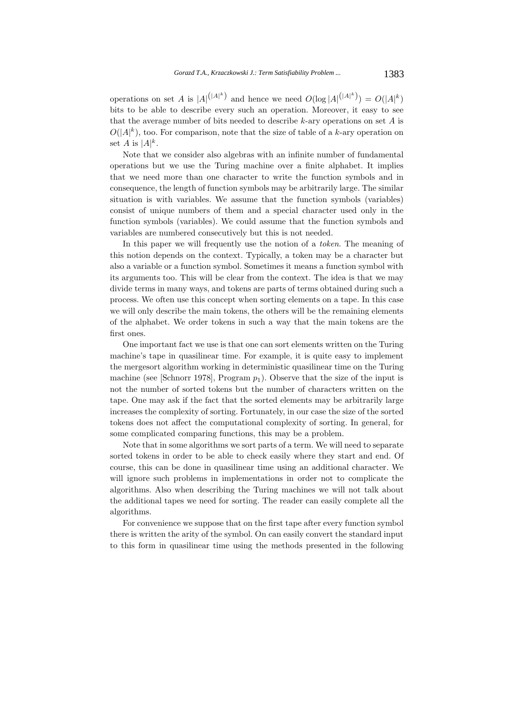operations on set A is  $|A|^{(|A|^k)}$  and hence we need  $O(\log |A|^{(|A|^k)}) = O(|A|^k)$ bits to be able to describe every such an operation. Moreover, it easy to see that the average number of bits needed to describe  $k$ -ary operations on set  $A$  is  $O(|A|^k)$ , too. For comparison, note that the size of table of a k-ary operation on set A is  $|A|^k$ .

Note that we consider also algebras with an infinite number of fundamental operations but we use the Turing machine over a finite alphabet. It implies that we need more than one character to write the function symbols and in consequence, the length of function symbols may be arbitrarily large. The similar situation is with variables. We assume that the function symbols (variables) consist of unique numbers of them and a special character used only in the function symbols (variables). We could assume that the function symbols and variables are numbered consecutively but this is not needed.

In this paper we will frequently use the notion of a *token*. The meaning of this notion depends on the context. Typically, a token may be a character but also a variable or a function symbol. Sometimes it means a function symbol with its arguments too. This will be clear from the context. The idea is that we may divide terms in many ways, and tokens are parts of terms obtained during such a process. We often use this concept when sorting elements on a tape. In this case we will only describe the main tokens, the others will be the remaining elements of the alphabet. We order tokens in such a way that the main tokens are the first ones.

One important fact we use is that one can sort elements written on the Turing machine's tape in quasilinear time. For example, it is quite easy to implement the mergesort algorithm working in deterministic quasilinear time on the Turing machine (see [Schnorr 1978], Program  $p_1$ ). Observe that the size of the input is not the number of sorted tokens but the number of characters written on the tape. One may ask if the fact that the sorted elements may be arbitrarily large increases the complexity of sorting. Fortunately, in our case the size of the sorted tokens does not affect the computational complexity of sorting. In general, for some complicated comparing functions, this may be a problem.

Note that in some algorithms we sort parts of a term. We will need to separate sorted tokens in order to be able to check easily where they start and end. Of course, this can be done in quasilinear time using an additional character. We will ignore such problems in implementations in order not to complicate the algorithms. Also when describing the Turing machines we will not talk about the additional tapes we need for sorting. The reader can easily complete all the algorithms.

For convenience we suppose that on the first tape after every function symbol there is written the arity of the symbol. On can easily convert the standard input to this form in quasilinear time using the methods presented in the following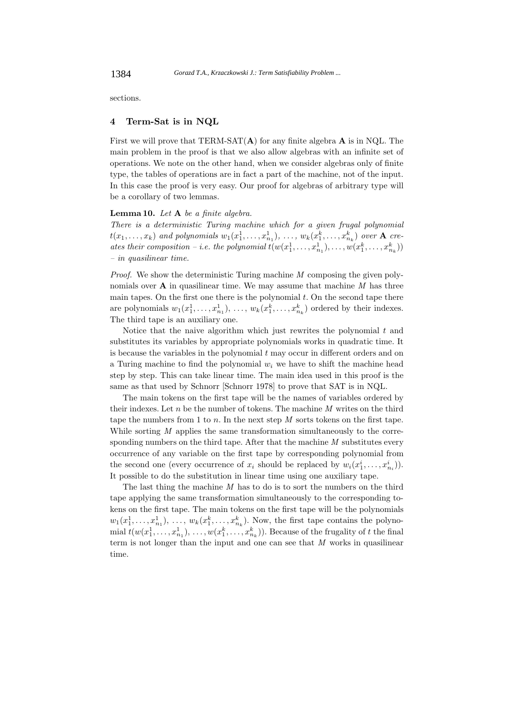sections.

#### **4 Term-Sat is in NQL**

First we will prove that TERM-SAT(**A**) for any finite algebra **A** is in NQL. The main problem in the proof is that we also allow algebras with an infinite set of operations. We note on the other hand, when we consider algebras only of finite type, the tables of operations are in fact a part of the machine, not of the input. In this case the proof is very easy. Our proof for algebras of arbitrary type will be a corollary of two lemmas.

#### **Lemma 10.** *Let* **A** *be a finite algebra.*

*There is a deterministic Turing machine which for a given frugal polynomial*  $t(x_1, \ldots, x_k)$  and polynomials  $w_1(x_1^1, \ldots, x_{n_1}^1), \ldots, w_k(x_1^k, \ldots, x_{n_k}^k)$  over **A** creates their composition – *i.e.* the polynomial  $t(w(x_1^1, \ldots, x_{n_1}^1), \ldots, w(x_1^k, \ldots, x_{n_k}^k))$ <br>is musclinear time. *– in quasilinear time.*

*Proof.* We show the deterministic Turing machine *M* composing the given polynomials over **A** in quasilinear time. We may assume that machine *M* has three main tapes. On the first one there is the polynomial  $t$ . On the second tape there are polynomials  $w_1(x_1^1, \ldots, x_{n_1}^1), \ldots, w_k(x_1^k, \ldots, x_{n_k}^k)$  ordered by their indexes. The third tape is an auxiliary one.

Notice that the naive algorithm which just rewrites the polynomial  $t$  and substitutes its variables by appropriate polynomials works in quadratic time. It is because the variables in the polynomial  $t$  may occur in different orders and on a Turing machine to find the polynomial  $w_i$  we have to shift the machine head step by step. This can take linear time. The main idea used in this proof is the same as that used by Schnorr [Schnorr 1978] to prove that SAT is in NQL.

The main tokens on the first tape will be the names of variables ordered by their indexes. Let n be the number of tokens. The machine *M* writes on the third tape the numbers from 1 to n. In the next step *M* sorts tokens on the first tape. While sorting *M* applies the same transformation simultaneously to the corresponding numbers on the third tape. After that the machine *M* substitutes every occurrence of any variable on the first tape by corresponding polynomial from the second one (every occurrence of  $x_i$  should be replaced by  $w_i(x_1^i, \ldots, x_{n_i}^i)$ ). It possible to do the substitution in linear time using one auxiliary tape.

The last thing the machine *M* has to do is to sort the numbers on the third tape applying the same transformation simultaneously to the corresponding tokens on the first tape. The main tokens on the first tape will be the polynomials  $w_1(x_1^1, \ldots, x_{n_1}^1), \ldots, w_k(x_1^k, \ldots, x_{n_k}^k)$ . Now, the first tape contains the polyno-<br>wield the function of the function of the function of the function mial  $t(w(x_1^1, \ldots, x_{n_1}^1), \ldots, w(x_1^k, \ldots, x_{n_k}^k))$ . Because of the frugality of t the final<br>tarm is not langer than the input only are seen see that M works in succilinear term is not longer than the input and one can see that *M* works in quasilinear time.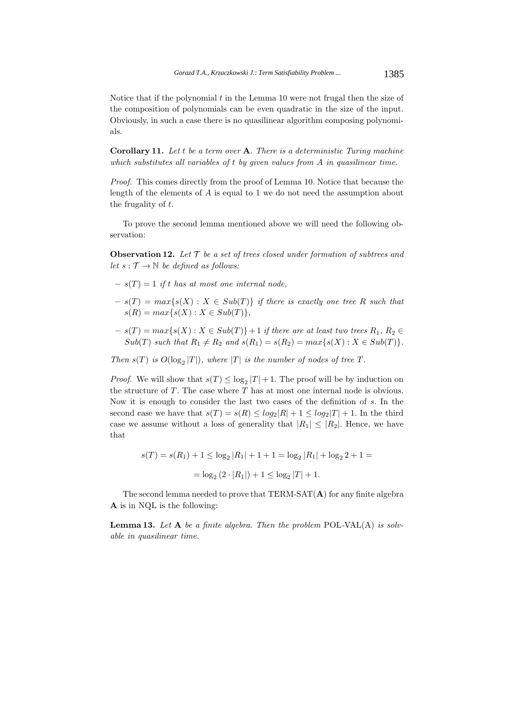Notice that if the polynomial  $t$  in the Lemma 10 were not frugal then the size of the composition of polynomials can be even quadratic in the size of the input. Obviously, in such a case there is no quasilinear algorithm composing polynomials.

**Corollary 11.** *Let* t *be a term over* **A***. There is a deterministic Turing machine which substitutes all variables of* t *by given values from* A *in quasilinear time.*

*Proof.* This comes directly from the proof of Lemma 10. Notice that because the length of the elements of A is equal to 1 we do not need the assumption about the frugality of t.

To prove the second lemma mentioned above we will need the following observation:

**Observation 12.** *Let* T *be a set of trees closed under formation of subtrees and let*  $s : \mathcal{T} \to \mathbb{N}$  *be defined as follows:* 

- $s(T) = 1$  *if* t has at most one internal node,
- $s(T) = max\{s(X) : X \in Sub(T)\}\$ if there is exactly one tree R such that  $s(R) = max\{s(X) : X \in Sub(T)\},\$
- $s(T) = max\{s(X) : X \in Sub(T)\} + 1$  *if there are at least two trees*  $R_1, R_2 \in$  $Sub(T)$  *such that*  $R_1 \neq R_2$  *and*  $s(R_1) = s(R_2) = max\{s(X) : X \in Sub(T)\}.$

*Then*  $s(T)$  *is*  $O(\log_2 |T|)$ *, where*  $|T|$  *is the number of nodes of tree*  $T$ *.* 

*Proof.* We will show that  $s(T) \leq \log_2 |T| + 1$ . The proof will be by induction on the structure of  $T$ . The case where  $T$  has at most one internal node is obvious. Now it is enough to consider the last two cases of the definition of s. In the second case we have that  $s(T) = s(R) \le log_2|R| + 1 \le log_2|T| + 1$ . In the third case we assume without a loss of generality that  $|R_1| \leq |R_2|$ . Hence, we have that

$$
s(T) = s(R_1) + 1 \le \log_2 |R_1| + 1 + 1 = \log_2 |R_1| + \log_2 2 + 1 =
$$
  
=  $\log_2 (2 \cdot |R_1|) + 1 \le \log_2 |T| + 1$ .

The second lemma needed to prove that TERM-SAT(**A**) for any finite algebra **A** is in NQL is the following:

**Lemma 13.** *Let* **A** *be a finite algebra. Then the problem* POL*-*VAL(A) *is solvable in quasilinear time.*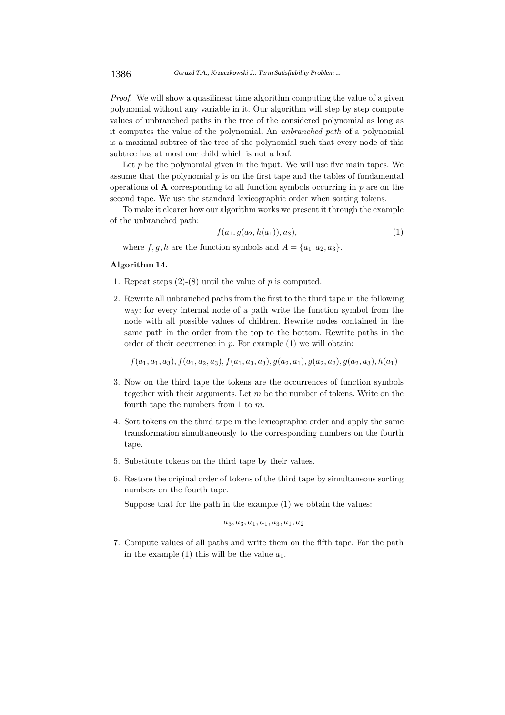*Proof.* We will show a quasilinear time algorithm computing the value of a given polynomial without any variable in it. Our algorithm will step by step compute values of unbranched paths in the tree of the considered polynomial as long as it computes the value of the polynomial. An *unbranched path* of a polynomial is a maximal subtree of the tree of the polynomial such that every node of this subtree has at most one child which is not a leaf.

Let  $p$  be the polynomial given in the input. We will use five main tapes. We assume that the polynomial  $p$  is on the first tape and the tables of fundamental operations of  $\bf{A}$  corresponding to all function symbols occurring in  $p$  are on the second tape. We use the standard lexicographic order when sorting tokens.

To make it clearer how our algorithm works we present it through the example of the unbranched path:

$$
f(a_1, g(a_2, h(a_1)), a_3), \tag{1}
$$

where  $f, g, h$  are the function symbols and  $A = \{a_1, a_2, a_3\}.$ 

# **Algorithm 14.**

- 1. Repeat steps  $(2)-(8)$  until the value of p is computed.
- 2. Rewrite all unbranched paths from the first to the third tape in the following way: for every internal node of a path write the function symbol from the node with all possible values of children. Rewrite nodes contained in the same path in the order from the top to the bottom. Rewrite paths in the order of their occurrence in  $p$ . For example  $(1)$  we will obtain:

 $f(a_1, a_1, a_3), f(a_1, a_2, a_3), f(a_1, a_3, a_3), g(a_2, a_1), g(a_2, a_2), g(a_2, a_3), h(a_1)$ 

- 3. Now on the third tape the tokens are the occurrences of function symbols together with their arguments. Let  $m$  be the number of tokens. Write on the fourth tape the numbers from 1 to  $m$ .
- 4. Sort tokens on the third tape in the lexicographic order and apply the same transformation simultaneously to the corresponding numbers on the fourth tape.
- 5. Substitute tokens on the third tape by their values.
- 6. Restore the original order of tokens of the third tape by simultaneous sorting numbers on the fourth tape.

Suppose that for the path in the example (1) we obtain the values:

$$
a_3, a_3, a_1, a_1, a_3, a_1, a_2\\
$$

7. Compute values of all paths and write them on the fifth tape. For the path in the example (1) this will be the value  $a_1$ .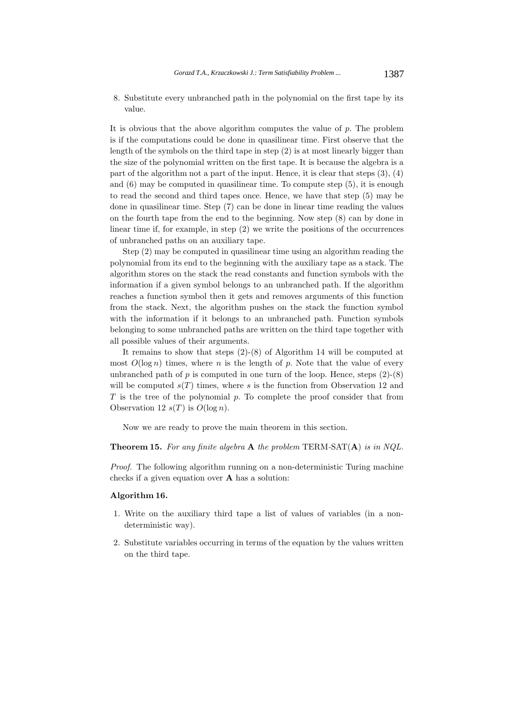8. Substitute every unbranched path in the polynomial on the first tape by its value.

It is obvious that the above algorithm computes the value of  $p$ . The problem is if the computations could be done in quasilinear time. First observe that the length of the symbols on the third tape in step (2) is at most linearly bigger than the size of the polynomial written on the first tape. It is because the algebra is a part of the algorithm not a part of the input. Hence, it is clear that steps  $(3)$ ,  $(4)$ and (6) may be computed in quasilinear time. To compute step (5), it is enough to read the second and third tapes once. Hence, we have that step (5) may be done in quasilinear time. Step (7) can be done in linear time reading the values on the fourth tape from the end to the beginning. Now step (8) can by done in linear time if, for example, in step (2) we write the positions of the occurrences of unbranched paths on an auxiliary tape.

Step (2) may be computed in quasilinear time using an algorithm reading the polynomial from its end to the beginning with the auxiliary tape as a stack. The algorithm stores on the stack the read constants and function symbols with the information if a given symbol belongs to an unbranched path. If the algorithm reaches a function symbol then it gets and removes arguments of this function from the stack. Next, the algorithm pushes on the stack the function symbol with the information if it belongs to an unbranched path. Function symbols belonging to some unbranched paths are written on the third tape together with all possible values of their arguments.

It remains to show that steps (2)-(8) of Algorithm 14 will be computed at most  $O(\log n)$  times, where n is the length of p. Note that the value of every unbranched path of  $p$  is computed in one turn of the loop. Hence, steps  $(2)-(8)$ will be computed  $s(T)$  times, where s is the function from Observation 12 and  $T$  is the tree of the polynomial  $p$ . To complete the proof consider that from Observation 12  $s(T)$  is  $O(\log n)$ .

Now we are ready to prove the main theorem in this section.

**Theorem 15.** *For any finite algebra* **A** *the problem* TERM*-*SAT(**A**) *is in NQL.*

*Proof.* The following algorithm running on a non-deterministic Turing machine checks if a given equation over **A** has a solution:

#### **Algorithm 16.**

- 1. Write on the auxiliary third tape a list of values of variables (in a nondeterministic way).
- 2. Substitute variables occurring in terms of the equation by the values written on the third tape.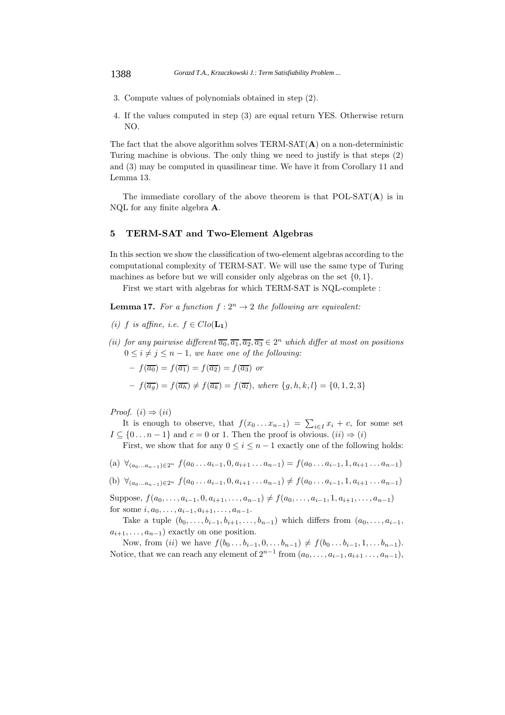- 3. Compute values of polynomials obtained in step (2).
- 4. If the values computed in step (3) are equal return YES. Otherwise return NO.

The fact that the above algorithm solves  $TERM-SAT(A)$  on a non-deterministic Turing machine is obvious. The only thing we need to justify is that steps (2) and (3) may be computed in quasilinear time. We have it from Corollary 11 and Lemma 13.

The immediate corollary of the above theorem is that POL-SAT(**A**) is in NQL for any finite algebra **A**.

## **5 TERM-SAT and Two-Element Algebras**

In this section we show the classification of two-element algebras according to the computational complexity of TERM-SAT. We will use the same type of Turing machines as before but we will consider only algebras on the set  $\{0, 1\}$ .

First we start with algebras for which TERM-SAT is NQL-complete :

**Lemma 17.** For a function  $f: 2^n \to 2$  the following are equivalent:

*(i)* f *is affine, i.e.*  $f \in Clo(\mathbf{L_1})$ 

- *(ii) for any pairwise different*  $\overline{a_0}, \overline{a_1}, \overline{a_2}, \overline{a_3} \in 2^n$  *which differ at most on positions*  $0 \leq i \neq j \leq n-1$ , we have one of the following:
	- $-f(\overline{a_0})=f(\overline{a_1})=f(\overline{a_2})=f(\overline{a_3})$  or
	- $-f(\overline{a_q}) = f(\overline{a_h}) \neq f(\overline{a_k}) = f(\overline{a_l})$ , where  $\{g, h, k, l\} = \{0, 1, 2, 3\}$

*Proof.*  $(i) \Rightarrow (ii)$ 

It is enough to observe, that  $f(x_0...x_{n-1}) = \sum_{i\in I} x_i + c$ , for some set  $[0, n-1]$  and  $c = 0$  or 1. Then the proof is obvious  $(i) \rightarrow (i)$  $I \subseteq \{0 \dots n-1\}$  and  $c = 0$  or 1. Then the proof is obvious.  $(ii) \Rightarrow (i)$ 

First, we show that for any  $0 \leq i \leq n-1$  exactly one of the following holds:

- (a)  $\forall_{(a_0...a_{n-1})\in 2^n} f(a_0...a_{i-1},0,a_{i+1}...a_{n-1}) = f(a_0...a_{i-1},1,a_{i+1}...a_{n-1})$
- (b)  $\forall_{(a_0...a_{n-1})\in 2^n} f(a_0...a_{i-1},0,a_{i+1}...a_{n-1}) \neq f(a_0...a_{i-1},1,a_{i+1}...a_{n-1})$

Suppose,  $f(a_0, \ldots, a_{i-1}, 0, a_{i+1}, \ldots, a_{n-1}) \neq f(a_0, \ldots, a_{i-1}, 1, a_{i+1}, \ldots, a_{n-1})$ for some  $i, a_0, \ldots, a_{i-1}, a_{i+1}, \ldots, a_{n-1}$ .

Take a tuple  $(b_0,\ldots,b_{i-1},b_{i+1},\ldots,b_{n-1})$  which differs from  $(a_0,\ldots,a_{i-1},b_i)$  $a_{i+1},\ldots,a_{n-1}$ ) exactly on one position.

Now, from (ii) we have  $f(b_0...b_{i-1},0,...b_{n-1}) \neq f(b_0...b_{i-1},1,...b_{n-1}).$ Notice, that we can reach any element of  $2^{n-1}$  from  $(a_0, \ldots, a_{i-1}, a_{i+1}, \ldots, a_{n-1}),$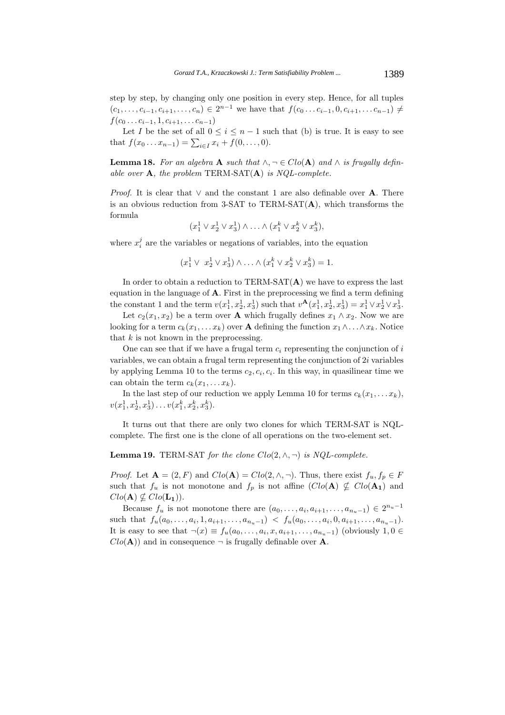step by step, by changing only one position in every step. Hence, for all tuples  $(c_1, \ldots, c_{i-1}, c_{i+1}, \ldots, c_n) \in 2^{n-1}$  we have that  $f(c_0 \ldots c_{i-1}, 0, c_{i+1}, \ldots, c_{n-1}) \neq$  $f(c_0 \ldots c_{i-1}, 1, c_{i+1}, \ldots c_{n-1})$ 

Let I be the set of all  $0 \leq i \leq n-1$  such that (b) is true. It is easy to see that  $f(x_0 \ldots x_{n-1}) = \sum_{i \in I} x_i + f(0, \ldots, 0).$ 

**Lemma 18.** For an algebra **A** such that  $\land, \neg \in Clo(A)$  and  $\land$  is frugally defin*able over* **A***, the problem* TERM*-*SAT(**A**) *is NQL-complete.*

*Proof.* It is clear that  $\vee$  and the constant 1 are also definable over **A**. There is an obvious reduction from 3-SAT to TERM-SAT $(A)$ , which transforms the formula

$$
(x_1^1 \vee x_2^1 \vee x_3^1) \wedge \ldots \wedge (x_1^k \vee x_2^k \vee x_3^k),
$$

where  $x_i^j$  are the variables or negations of variables, into the equation

$$
(x_1^1 \vee x_2^1 \vee x_3^1) \wedge \ldots \wedge (x_1^k \vee x_2^k \vee x_3^k) = 1.
$$

In order to obtain a reduction to TERM-SAT(A) we have to express the last equation in the language of **A**. First in the preprocessing we find a term defining the constant 1 and the term  $v(x_1^1, x_2^1, x_3^1)$  such that  $v^{\mathbf{A}}(x_1^1, x_2^1, x_3^1) = x_1^1 \vee x_2^1 \vee x_3^1$ .

Let  $c_2(x_1, x_2)$  be a term over **A** which frugally defines  $x_1 \wedge x_2$ . Now we are looking for a term  $c_k(x_1,...x_k)$  over **A** defining the function  $x_1 \wedge ... \wedge x_k$ . Notice that  $k$  is not known in the preprocessing.

One can see that if we have a frugal term  $c_i$  representing the conjunction of i variables, we can obtain a frugal term representing the conjunction of 2i variables by applying Lemma 10 to the terms  $c_2, c_i, c_i$ . In this way, in quasilinear time we can obtain the term  $c_k(x_1,...x_k)$ .

In the last step of our reduction we apply Lemma 10 for terms  $c_k(x_1,...x_k)$ ,  $v(x_1^1, x_2^1, x_3^1) \ldots v(x_1^k, x_2^k, x_3^k).$ 

It turns out that there are only two clones for which TERM-SAT is NQLcomplete. The first one is the clone of all operations on the two-element set.

#### **Lemma 19.** TERM-SAT *for the clone*  $Clo(2, \land, \neg)$  *is NQL-complete.*

*Proof.* Let  $\mathbf{A} = (2, F)$  and  $Clo(\mathbf{A}) = Clo(2, \wedge, \neg)$ . Thus, there exist  $f_u, f_p \in F$ such that  $f_u$  is not monotone and  $f_p$  is not affine  $(Clo(\mathbf{A}) \nsubseteq Clo(\mathbf{A_1})$  and  $Clo(\mathbf{A}) \nsubseteq Clo(\mathbf{L_1})$ .

Because  $f_u$  is not monotone there are  $(a_0, \ldots, a_i, a_{i+1}, \ldots, a_{n_u-1}) \in 2^{n_u-1}$ such that  $f_u(a_0,...,a_i, 1, a_{i+1},...,a_{n_u-1}) \leq f_u(a_0,...,a_i, 0, a_{i+1},...,a_{n_u-1}).$ It is easy to see that  $\neg(x) \equiv f_u(a_0,\ldots,a_i,x,a_{i+1},\ldots,a_{n_u-1})$  (obviously  $1,0 \in$  $Clo(\mathbf{A})$  and in consequence  $\neg$  is frugally definable over **A**.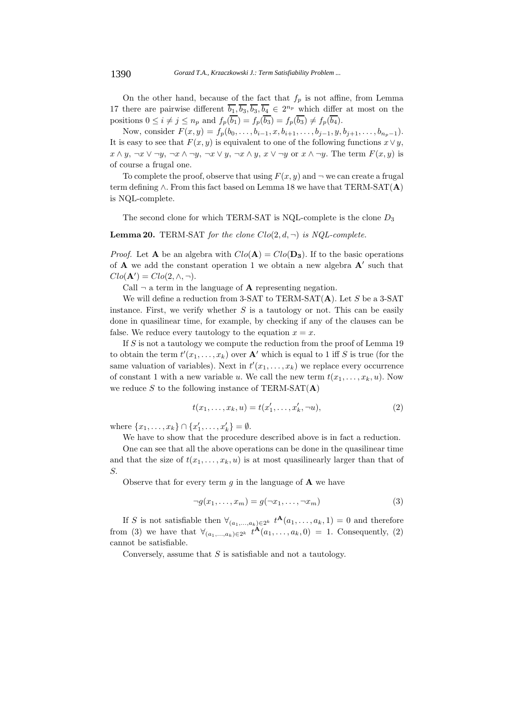On the other hand, because of the fact that  $f_p$  is not affine, from Lemma 17 there are pairwise different  $\overline{b_1}, \overline{b_3}, \overline{b_3}, \overline{b_4} \in 2^{n_p}$  which differ at most on the positions  $0 \leq i \neq j \leq n_p$  and  $f_p(\overline{b_1}) = f_p(\overline{b_3}) = f_p(\overline{b_3}) \neq f_p(\overline{b_4})$ .

Now, consider  $F(x, y) = f_p(b_0, \ldots, b_{i-1}, x, b_{i+1}, \ldots, b_{j-1}, y, b_{j+1}, \ldots, b_{n_p-1}).$ It is easy to see that  $F(x, y)$  is equivalent to one of the following functions  $x \vee y$ ,  $x \wedge y$ ,  $\neg x \vee \neg y$ ,  $\neg x \wedge \neg y$ ,  $\neg x \vee y$ ,  $\neg x \wedge y$ ,  $x \vee \neg y$  or  $x \wedge \neg y$ . The term  $F(x, y)$  is of course a frugal one.

To complete the proof, observe that using  $F(x, y)$  and  $\neg$  we can create a frugal term defining ∧. From this fact based on Lemma 18 we have that TERM-SAT(**A**) is NQL-complete.

The second clone for which TERM-SAT is NQL-complete is the clone  $D_3$ 

#### **Lemma 20.** TERM-SAT *for the clone*  $Clo(2, d, \neg)$  *is NQL-complete.*

*Proof.* Let **A** be an algebra with  $Clo(\mathbf{A}) = Clo(\mathbf{D_3})$ . If to the basic operations of  $\bf{A}$  we add the constant operation 1 we obtain a new algebra  $\bf{A}'$  such that  $Clo(\mathbf{A}') = Clo(2, \wedge, \neg).$ 

Call  $\neg$  a term in the language of **A** representing negation.

We will define a reduction from 3-SAT to TERM-SAT(**A**). Let S be a 3-SAT instance. First, we verify whether  $S$  is a tautology or not. This can be easily done in quasilinear time, for example, by checking if any of the clauses can be false. We reduce every tautology to the equation  $x = x$ .

If  $S$  is not a tautology we compute the reduction from the proof of Lemma 19 to obtain the term  $t'(x_1,\ldots,x_k)$  over **A**' which is equal to 1 iff S is true (for the same valuation of variables). Next in  $t'(x_1,\ldots,x_k)$  we replace every occurrence of constant 1 with a new variable u. We call the new term  $t(x_1,...,x_k, u)$ . Now we reduce S to the following instance of  $TERM-SAT(A)$ 

$$
t(x_1, ..., x_k, u) = t(x'_1, ..., x'_k, \neg u),
$$
\n(2)

where  $\{x_1, \ldots, x_k\} \cap \{x'_1, \ldots, x'_k\} = \emptyset$ .<br>We have to show that the precedure

We have to show that the procedure described above is in fact a reduction.

One can see that all the above operations can be done in the quasilinear time and that the size of  $t(x_1,\ldots,x_k,u)$  is at most quasilinearly larger than that of S.

Observe that for every term  $g$  in the language of  $\bf{A}$  we have

$$
\neg g(x_1, \dots, x_m) = g(\neg x_1, \dots, \neg x_m)
$$
\n(3)

If S is not satisfiable then  $\forall_{(a_1,...,a_k)\in 2^k} t^{A}(a_1,...,a_k, 1) = 0$  and therefore from (3) we have that  $\forall_{(a_1,...,a_k)\in 2^k} t^{\mathbf{A}}(a_1,...,a_k,0) = 1$ . Consequently, (2) cannot be satisfiable.

Conversely, assume that  $S$  is satisfiable and not a tautology.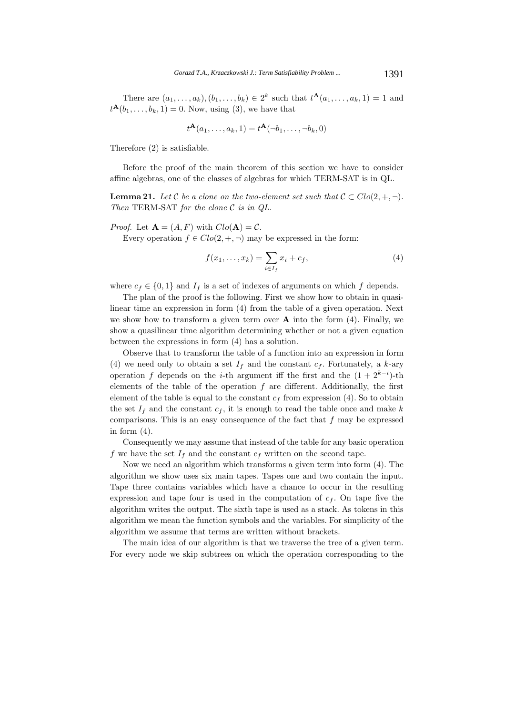There are  $(a_1, ..., a_k), (b_1, ..., b_k) \in 2^k$  such that  $t^{\mathbf{A}}(a_1, ..., a_k, 1) = 1$  and  $t^{\mathbf{A}}(b_1,...,b_k, 1) = 0$ . Now, using (3), we have that

$$
t^{\mathbf{A}}(a_1,\ldots,a_k,1)=t^{\mathbf{A}}(\neg b_1,\ldots,\neg b_k,0)
$$

Therefore (2) is satisfiable.

Before the proof of the main theorem of this section we have to consider affine algebras, one of the classes of algebras for which TERM-SAT is in QL.

**Lemma 21.** *Let*  $C$  *be a clone on the two-element set such that*  $C \subset Clo(2, +, \neg)$ *. Then* TERM*-*SAT *for the clone* C *is in QL.*

*Proof.* Let  $\mathbf{A} = (A, F)$  with  $Clo(\mathbf{A}) = C$ .

Every operation  $f \in Clo(2, +, \neg)$  may be expressed in the form:

$$
f(x_1,\ldots,x_k) = \sum_{i \in I_f} x_i + c_f,
$$
\n<sup>(4)</sup>

where  $c_f \in \{0,1\}$  and  $I_f$  is a set of indexes of arguments on which f depends.

The plan of the proof is the following. First we show how to obtain in quasilinear time an expression in form (4) from the table of a given operation. Next we show how to transform a given term over **A** into the form (4). Finally, we show a quasilinear time algorithm determining whether or not a given equation between the expressions in form (4) has a solution.

Observe that to transform the table of a function into an expression in form (4) we need only to obtain a set  $I_f$  and the constant  $c_f$ . Fortunately, a k-ary operation f depends on the *i*-th argument iff the first and the  $(1 + 2^{k-i})$ -th elements of the table of the operation  $f$  are different. Additionally, the first element of the table is equal to the constant  $c_f$  from expression (4). So to obtain the set  $I_f$  and the constant  $c_f$ , it is enough to read the table once and make k comparisons. This is an easy consequence of the fact that  $f$  may be expressed in form  $(4)$ .

Consequently we may assume that instead of the table for any basic operation f we have the set  $I_f$  and the constant  $c_f$  written on the second tape.

Now we need an algorithm which transforms a given term into form (4). The algorithm we show uses six main tapes. Tapes one and two contain the input. Tape three contains variables which have a chance to occur in the resulting expression and tape four is used in the computation of  $c_f$ . On tape five the algorithm writes the output. The sixth tape is used as a stack. As tokens in this algorithm we mean the function symbols and the variables. For simplicity of the algorithm we assume that terms are written without brackets.

The main idea of our algorithm is that we traverse the tree of a given term. For every node we skip subtrees on which the operation corresponding to the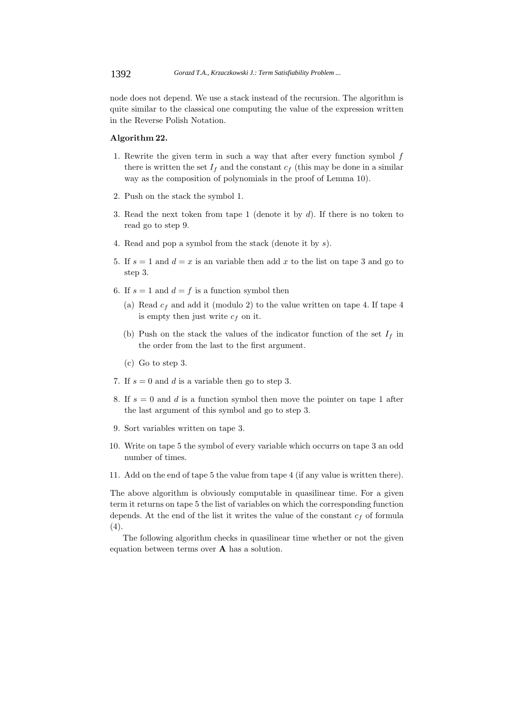node does not depend. We use a stack instead of the recursion. The algorithm is quite similar to the classical one computing the value of the expression written in the Reverse Polish Notation.

#### **Algorithm 22.**

- 1. Rewrite the given term in such a way that after every function symbol  $f$ there is written the set  $I_f$  and the constant  $c_f$  (this may be done in a similar way as the composition of polynomials in the proof of Lemma 10).
- 2. Push on the stack the symbol 1.
- 3. Read the next token from tape 1 (denote it by d). If there is no token to read go to step 9.
- 4. Read and pop a symbol from the stack (denote it by s).
- 5. If  $s = 1$  and  $d = x$  is an variable then add x to the list on tape 3 and go to step 3.
- 6. If  $s = 1$  and  $d = f$  is a function symbol then
	- (a) Read  $c_f$  and add it (modulo 2) to the value written on tape 4. If tape 4 is empty then just write  $c_f$  on it.
	- (b) Push on the stack the values of the indicator function of the set  $I_f$  in the order from the last to the first argument.
	- (c) Go to step 3.
- 7. If  $s = 0$  and d is a variable then go to step 3.
- 8. If  $s = 0$  and d is a function symbol then move the pointer on tape 1 after the last argument of this symbol and go to step 3.
- 9. Sort variables written on tape 3.
- 10. Write on tape 5 the symbol of every variable which occurrs on tape 3 an odd number of times.
- 11. Add on the end of tape 5 the value from tape 4 (if any value is written there).

The above algorithm is obviously computable in quasilinear time. For a given term it returns on tape 5 the list of variables on which the corresponding function depends. At the end of the list it writes the value of the constant  $c_f$  of formula  $(4).$ 

The following algorithm checks in quasilinear time whether or not the given equation between terms over **A** has a solution.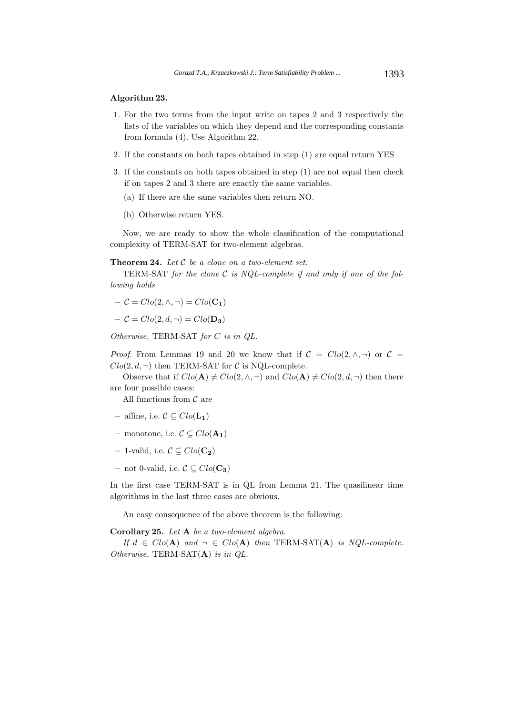#### **Algorithm 23.**

- 1. For the two terms from the input write on tapes 2 and 3 respectively the lists of the variables on which they depend and the corresponding constants from formula (4). Use Algorithm 22.
- 2. If the constants on both tapes obtained in step (1) are equal return YES
- 3. If the constants on both tapes obtained in step (1) are not equal then check if on tapes 2 and 3 there are exactly the same variables.
	- (a) If there are the same variables then return NO.
	- (b) Otherwise return YES.

Now, we are ready to show the whole classification of the computational complexity of TERM-SAT for two-element algebras.

#### **Theorem 24.** *Let* C *be a clone on a two-element set.*

TERM*-*SAT *for the clone* C *is NQL-complete if and only if one of the following holds*

$$
- \mathcal{C} = Clo(2, \wedge, \neg) = Clo(C_1)
$$

$$
- \mathcal{C} = Clo(2, d, \neg) = Clo(\mathbf{D_3})
$$

*Otherwise,* TERM*-*SAT *for* C *is in QL.*

*Proof.* From Lemmas 19 and 20 we know that if  $C = Clo(2, \wedge, \neg)$  or  $C =$  $Clo(2, d, \neg)$  then TERM-SAT for C is NQL-complete.

Observe that if  $Clo(\mathbf{A}) \neq Clo(2, \wedge, \neg)$  and  $Clo(\mathbf{A}) \neq Clo(2, d, \neg)$  then there are four possible cases:

All functions from  $\mathcal C$  are

- **–** affine, i.e. C ⊆ Clo(**L1**)
- **–** monotone, i.e. C ⊆ Clo(**A1**)
- **–** 1-valid, i.e. C ⊆ Clo(**C2**)
- **–** not 0-valid, i.e. C ⊆ Clo(**C3**)

In the first case TERM-SAT is in QL from Lemma 21. The quasilinear time algorithms in the last three cases are obvious.

An easy consequence of the above theorem is the following:

**Corollary 25.** *Let* **A** *be a two-element algebra.*

*If*  $d \in Clo(A)$  *and*  $\neg \in Clo(A)$  *then* **TERM-SAT(A)** *is NQL-complete. Otherwise,* TERM*-*SAT(**A**) *is in QL.*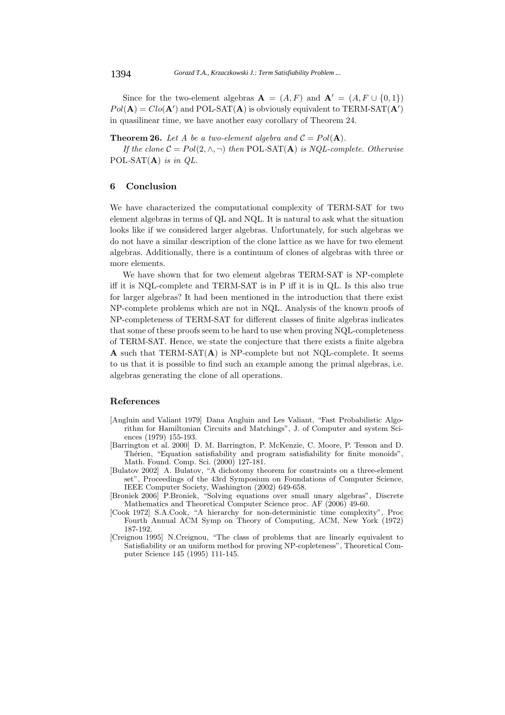Since for the two-element algebras  $A = (A, F)$  and  $A' = (A, F \cup \{0, 1\})$  $Pol(\mathbf{A}) = Clo(\mathbf{A}')$  and POL-SAT $(\mathbf{A})$  is obviously equivalent to TERM-SAT $(\mathbf{A}')$ in quasilinear time, we have another easy corollary of Theorem 24.

#### **Theorem 26.** Let A be a two-element algebra and  $C = Pol(A)$ .

*If the clone*  $C = Pol(2, \wedge, \neg)$  *then* POL-SAT(**A**) *is NQL-complete. Otherwise* POL*-*SAT(**A**) *is in QL.*

# **6 Conclusion**

We have characterized the computational complexity of TERM-SAT for two element algebras in terms of QL and NQL. It is natural to ask what the situation looks like if we considered larger algebras. Unfortunately, for such algebras we do not have a similar description of the clone lattice as we have for two element algebras. Additionally, there is a continuum of clones of algebras with three or more elements.

We have shown that for two element algebras TERM-SAT is NP-complete iff it is NQL-complete and TERM-SAT is in P iff it is in QL. Is this also true for larger algebras? It had been mentioned in the introduction that there exist NP-complete problems which are not in NQL. Analysis of the known proofs of NP-completeness of TERM-SAT for different classes of finite algebras indicates that some of these proofs seem to be hard to use when proving NQL-completeness of TERM-SAT. Hence, we state the conjecture that there exists a finite algebra **A** such that TERM-SAT(**A**) is NP-complete but not NQL-complete. It seems to us that it is possible to find such an example among the primal algebras, i.e. algebras generating the clone of all operations.

#### **References**

- [Angluin and Valiant 1979] Dana Angluin and Les Valiant, "Fast Probabilistic Algorithm for Hamiltonian Circuits and Matchings", J. of Computer and system Sciences (1979) 155-193.
- [Barrington et al. 2000] D. M. Barrington, P. McKenzie, C. Moore, P. Tesson and D. Thérien, "Equation satisfiability and program satisfiability for finite monoids", Math. Found. Comp. Sci. (2000) 127-181.
- [Bulatov 2002] A. Bulatov, "A dichotomy theorem for constraints on a three-element set", Proceedings of the 43rd Symposium on Foundations of Computer Science, IEEE Computer Society, Washington (2002) 649-658.
- [Broniek 2006] P.Broniek, "Solving equations over small unary algebras", Discrete Mathematics and Theoretical Computer Science proc. AF (2006) 49-60.
- [Cook 1972] S.A.Cook, "A hierarchy for non-deterministic time complexity", Proc Fourth Annual ACM Symp on Theory of Computing, ACM, New York (1972) 187-192.
- [Creignou 1995] N.Creignou, "The class of problems that are linearly equivalent to Satisfiability or an uniform method for proving NP-copleteness", Theoretical Computer Science 145 (1995) 111-145.